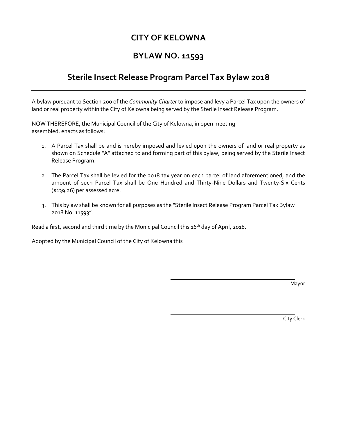## **CITY OF KELOWNA**

## **BYLAW NO. 11593**

## **Sterile Insect Release Program Parcel Tax Bylaw 2018**

A bylaw pursuant to Section 200 of the *Community Charter* to impose and levy a Parcel Tax upon the owners of land or real property within the City of Kelowna being served by the Sterile Insect Release Program.

NOW THEREFORE, the Municipal Council of the City of Kelowna, in open meeting assembled, enacts as follows:

- 1. A Parcel Tax shall be and is hereby imposed and levied upon the owners of land or real property as shown on Schedule "A" attached to and forming part of this bylaw, being served by the Sterile Insect Release Program.
- 2. The Parcel Tax shall be levied for the 2018 tax year on each parcel of land aforementioned, and the amount of such Parcel Tax shall be One Hundred and Thirty-Nine Dollars and Twenty-Six Cents (\$139.26) per assessed acre.
- 3. This bylaw shall be known for all purposes as the "Sterile Insect Release Program Parcel Tax Bylaw 2018 No. 11593".

Read a first, second and third time by the Municipal Council this 16<sup>th</sup> day of April, 2018.

Adopted by the Municipal Council of the City of Kelowna this

Mayor

City Clerk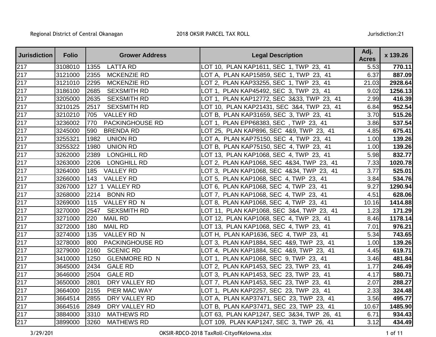| <b>Jurisdiction</b> | <b>Folio</b> | <b>Grower Address</b>        | <b>Legal Description</b>                   | Adj.<br><b>Acres</b> | x 139.26 |
|---------------------|--------------|------------------------------|--------------------------------------------|----------------------|----------|
| 217                 | 3108010      | <b>LATTA RD</b><br>1355      | LOT 10, PLAN KAP1611, SEC 1, TWP 23, 41    | 5.53                 | 770.11   |
| 217                 | 3121000      | 2355<br><b>MCKENZIE RD</b>   | LOT A, PLAN KAP15859, SEC 1, TWP 23, 41    | 6.37                 | 887.09   |
| $\overline{2}17$    | 3121010      | 2295<br><b>MCKENZIE RD</b>   | LOT 2, PLAN KAP33255, SEC 1, TWP 23, 41    | 21.03                | 2928.64  |
| 217                 | 3186100      | 2685<br><b>SEXSMITH RD</b>   | LOT 1, PLAN KAP45492, SEC 3, TWP 23, 41    | 9.02                 | 1256.13  |
| 217                 | 3205000      | 2635<br><b>SEXSMITH RD</b>   | LOT 1, PLAN KAP12772, SEC 3&33, TWP 23, 41 | 2.99                 | 416.39   |
| 217                 | 3210125      | <b>SEXSMITH RD</b><br>2517   | LOT 10, PLAN KAP21431, SEC 3&4, TWP 23, 41 | 6.84                 | 952.54   |
| 217                 | 3210210      | <b>VALLEY RD</b><br>705      | LOT B, PLAN KAP31659, SEC 3, TWP 23, 41    | 3.70                 | 515.26   |
| 217                 | 3236002      | PACKINGHOUSE RD<br>770       | LOT 1, PLAN EPP68383, SEC, TWP 23, 41      | 3.86                 | 537.54   |
| 217                 | 3245000      | <b>BRENDA RD</b><br>590      | LOT 25, PLAN KAP896, SEC 4&9, TWP 23, 41   | 4.85                 | 675.41   |
| $\overline{2}17$    | 3255321      | <b>UNION RD</b><br>1982      | LOT A, PLAN KAP75150, SEC 4, TWP 23, 41    | 1.00                 | 139.26   |
| 217                 | 3255322      | <b>UNION RD</b><br>1980      | LOT B, PLAN KAP75150, SEC 4, TWP 23, 41    | 1.00                 | 139.26   |
| 217                 | 3262000      | 2389<br><b>LONGHILL RD</b>   | LOT 13, PLAN KAP1068, SEC 4, TWP 23, 41    | 5.98                 | 832.77   |
| 217                 | 3263000      | <b>LONGHILL RD</b><br>2206   | LOT 2, PLAN KAP1068, SEC 4&34, TWP 23, 41  | 7.33                 | 1020.78  |
| 217                 | 3264000      | <b>VALLEY RD</b><br>185      | LOT 3, PLAN KAP1068, SEC 4&34, TWP 23, 41  | 3.77                 | 525.01   |
| $\overline{217}$    | 3266000      | 143<br><b>VALLEY RD</b>      | LOT 5, PLAN KAP1068, SEC 4, TWP 23, 41     | 3.84                 | 534.76   |
| 217                 | 3267000      | 127 1 VALLEY RD              | LOT 6, PLAN KAP1068, SEC 4, TWP 23, 41     | 9.27                 | 1290.94  |
| $\overline{2}17$    | 3268000      | 2214<br><b>BONN RD</b>       | LOT 7, PLAN KAP1068, SEC 4, TWP 23, 41     | 4.51                 | 628.06   |
| 217                 | 3269000      | VALLEY RD N<br>115           | LOT 8, PLAN KAP1068, SEC 4, TWP 23, 41     | 10.16                | 1414.88  |
| 217                 | 3270000      | <b>SEXSMITH RD</b><br>2547   | LOT 11, PLAN KAP1068, SEC 3&4, TWP 23, 41  | 1.23                 | 171.29   |
| 217                 | 3271000      | 220<br><b>MAIL RD</b>        | LOT 12, PLAN KAP1068, SEC 4, TWP 23, 41    | 8.46                 | 1178.14  |
| 217                 | 3272000      | <b>MAIL RD</b><br>180        | LOT 13, PLAN KAP1068, SEC 4, TWP 23, 41    | 7.01                 | 976.21   |
| 217                 | 3274000      | 135<br>VALLEY RD N           | LOT H,  PLAN KAP1636, SEC  4, TWP  23,  41 | 5.34                 | 743.65   |
| 217                 | 3278000      | PACKINGHOUSE RD<br>800       | LOT 3, PLAN KAP1884, SEC 4&9, TWP 23, 41   | 1.00                 | 139.26   |
| 217                 | 3279000      | <b>SCENIC RD</b><br>2160     | LOT 4, PLAN KAP1884, SEC 4&9, TWP 23, 41   | 4.45                 | 619.71   |
| $\overline{2}17$    | 3410000      | 1250<br><b>GLENMORE RD N</b> | LOT 1, PLAN KAP1068, SEC 9, TWP 23, 41     | 3.46                 | 481.84   |
| 217                 | 3645000      | 2434<br><b>GALE RD</b>       | LOT 2, PLAN KAP1453, SEC 23, TWP 23, 41    | 1.77                 | 246.49   |
| 217                 | 3646000      | 2504<br><b>GALE RD</b>       | LOT 3, PLAN KAP1453, SEC 23, TWP 23, 41    | 4.17                 | 580.71   |
| 217                 | 3650000      | 2801<br>DRY VALLEY RD        | LOT 7, PLAN KAP1453, SEC 23, TWP 23, 41    | 2.07                 | 288.27   |
| 217                 | 3664000      | 2155<br>PIER MAC WAY         | LOT 1, PLAN KAP2257, SEC 23, TWP 23, 41    | 2.33                 | 324.48   |
| 217                 | 3664514      | 2855<br>DRY VALLEY RD        | LOT A, PLAN KAP37471, SEC 23, TWP 23, 41   | 3.56                 | 495.77   |
| 217                 | 3664516      | 2849<br>DRY VALLEY RD        | LOT B, PLAN KAP37471, SEC 23, TWP 23, 41   | 10.67                | 1485.90  |
| $\overline{2}17$    | 3884000      | 3310<br><b>MATHEWS RD</b>    | LOT 63, PLAN KAP1247, SEC 3&34, TWP 26, 41 | 6.71                 | 934.43   |
| 217                 | 3899000      | 3260<br><b>MATHEWS RD</b>    | LOT 109, PLAN KAP1247, SEC 3, TWP 26, 41   | 3.12                 | 434.49   |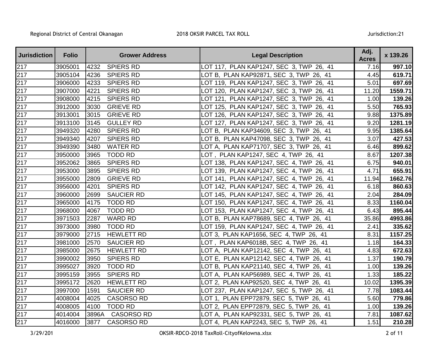| <b>Jurisdiction</b> | <b>Folio</b> |       | <b>Grower Address</b> | <b>Legal Description</b>                     | Adj.<br><b>Acres</b> | x 139.26 |
|---------------------|--------------|-------|-----------------------|----------------------------------------------|----------------------|----------|
| 217                 | 3905001      | 4232  | <b>SPIERS RD</b>      | LOT 117, PLAN KAP1247, SEC 3, TWP 26, 41     | 7.16                 | 997.10   |
| 217                 | 3905104      | 4236  | <b>SPIERS RD</b>      | LOT B, PLAN KAP92871, SEC 3, TWP 26, 41      | 4.45                 | 619.71   |
| $\overline{2}17$    | 3906000      | 4233  | <b>SPIERS RD</b>      | LOT 119, PLAN KAP1247, SEC 3, TWP 26, 41     | 5.01                 | 697.69   |
| 217                 | 3907000      | 4221  | <b>SPIERS RD</b>      | LOT 120, PLAN KAP1247, SEC 3, TWP 26, 41     | 11.20                | 1559.71  |
| 217                 | 3908000      | 4215  | <b>SPIERS RD</b>      | LOT 121, PLAN KAP1247, SEC 3, TWP 26, 41     | 1.00                 | 139.26   |
| 217                 | 3912000      | 3030  | <b>GRIEVE RD</b>      | LOT 125, PLAN KAP1247, SEC 3, TWP 26, 41     | 5.50                 | 765.93   |
| 217                 | 3913001      | 3015  | <b>GRIEVE RD</b>      | LOT 126, PLAN KAP1247, SEC 3, TWP 26, 41     | 9.88                 | 1375.89  |
| 217                 | 3913100      | 3145  | <b>GULLEY RD</b>      | LOT 127, PLAN KAP1247, SEC 3, TWP 26, 41     | 9.20                 | 1281.19  |
| 217                 | 3949320      | 4280  | <b>SPIERS RD</b>      | LOT B, PLAN KAP34609, SEC 3, TWP 26, 41      | 9.95                 | 1385.64  |
| 217                 | 3949340      | 4207  | <b>SPIERS RD</b>      | LOT B, PLAN KAP47098, SEC 3, TWP 26, 41      | 3.07                 | 427.53   |
| 217                 | 3949390      | 3480  | <b>WATER RD</b>       | LOT A, PLAN KAP71707, SEC 3, TWP 26, 41      | 6.46                 | 899.62   |
| 217                 | 3950000      | 3965  | <b>TODD RD</b>        | LOT, PLAN KAP1247, SEC 4, TWP 26, 41         | 8.67                 | 1207.38  |
| 217                 | 3952062      | 3865  | <b>SPIERS RD</b>      | LOT 138, PLAN KAP1247, SEC 4, TWP 26, 41     | 6.75                 | 940.01   |
| 217                 | 3953000      | 3895  | <b>SPIERS RD</b>      | LOT 139, PLAN KAP1247, SEC 4, TWP 26, 41     | 4.71                 | 655.91   |
| $\overline{2}17$    | 3955000      | 2809  | <b>GRIEVE RD</b>      | LOT 141, PLAN KAP1247, SEC 4, TWP 26, 41     | 11.94                | 1662.76  |
| 217                 | 3956000      | 4201  | <b>SPIERS RD</b>      | LOT 142, PLAN KAP1247, SEC 4, TWP 26, 41     | 6.18                 | 860.63   |
| $\overline{2}17$    | 3960000      | 2699  | <b>SAUCIER RD</b>     | LOT 145, PLAN KAP1247, SEC 4, TWP 26, 41     | 2.04                 | 284.09   |
| 217                 | 3965000      | 4175  | TODD RD               | LOT 150, PLAN KAP1247, SEC 4, TWP 26, 41     | 8.33                 | 1160.04  |
| 217                 | 3968000      | 4067  | <b>TODD RD</b>        | LOT 153, PLAN KAP1247, SEC 4, TWP 26, 41     | 6.43                 | 895.44   |
| 217                 | 3971503      | 2287  | <b>WARD RD</b>        | LOT B, PLAN KAP78689, SEC 4, TWP 26, 41      | 35.86                | 4993.86  |
| 217                 | 3973000      | 3980  | <b>TODD RD</b>        | LOT 159, PLAN KAP1247, SEC 4, TWP 26, 41     | 2.41                 | 335.62   |
| 217                 | 3979000      | 2715  | <b>HEWLETT RD</b>     | LOT 3, PLAN KAP1656, SEC 4, TWP 26, 41       | 8.31                 | 1157.25  |
| 217                 | 3981000      | 2570  | <b>SAUCIER RD</b>     | LOT, PLAN KAP6018B, SEC 4, TWP 26, 41        | 1.18                 | 164.33   |
| 217                 | 3985000      | 2675  | <b>HEWLETT RD</b>     | LOT A, PLAN KAP12142, SEC 4, TWP 26, 41      | 4.83                 | 672.63   |
| $\overline{2}17$    | 3990002      | 3950  | <b>SPIERS RD</b>      | LOT E, PLAN KAP12142, SEC 4, TWP 26, 41      | 1.37                 | 190.79   |
| 217                 | 3995027      | 3920  | <b>TODD RD</b>        | LOT B, PLAN KAP21140, SEC 4, TWP 26, 41      | 1.00                 | 139.26   |
| 217                 | 3995159      | 3955  | <b>SPIERS RD</b>      | LOT A, PLAN KAP56989, SEC 4, TWP 26, 41      | 1.33                 | 185.22   |
| 217                 | 3995172      | 2620  | <b>HEWLETT RD</b>     | LOT 2, PLAN KAP92520, SEC 4, TWP 26, 41      | 10.02                | 1395.39  |
| 217                 | 3997000      | 1591  | <b>SAUCIER RD</b>     | LOT 237,  PLAN KAP1247, SEC  5, TWP  26,  41 | 7.78                 | 1083.44  |
| 217                 | 4008004      | 4025  | <b>CASORSO RD</b>     | LOT 1, PLAN EPP72879, SEC 5, TWP 26, 41      | 5.60                 | 779.86   |
| 217                 | 4008005      | 4100  | <b>TODD RD</b>        | LOT 2, PLAN EPP72879, SEC 5, TWP 26, 41      | 1.00                 | 139.26   |
| 217                 | 4014004      | 3896A | <b>CASORSO RD</b>     | LOT A, PLAN KAP92331, SEC 5, TWP 26, 41      | 7.81                 | 1087.62  |
| 217                 | 4016000      | 3877  | <b>CASORSO RD</b>     | LOT 4, PLAN KAP2243, SEC 5, TWP 26, 41       | 1.51                 | 210.28   |

3/29/201

OKSIR-RDCO-2018 TaxRoll-CityofKelowna.xlsx 2 of 11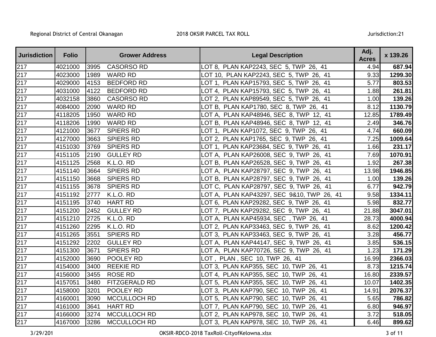| <b>Jurisdiction</b> | <b>Folio</b> |      | <b>Grower Address</b> | <b>Legal Description</b>                   | Adj.<br><b>Acres</b> | x 139.26 |
|---------------------|--------------|------|-----------------------|--------------------------------------------|----------------------|----------|
| 217                 | 4021000      | 3995 | <b>CASORSO RD</b>     | LOT 8, PLAN KAP2243, SEC 5, TWP 26, 41     | 4.94                 | 687.94   |
| 217                 | 4023000      | 1989 | <b>WARD RD</b>        | LOT 10, PLAN KAP2243, SEC 5, TWP 26, 41    | 9.33                 | 1299.30  |
| 217                 | 4029000      | 4153 | <b>BEDFORD RD</b>     | LOT 1, PLAN KAP15793, SEC 5, TWP 26, 41    | 5.77                 | 803.53   |
| 217                 | 4031000      | 4122 | <b>BEDFORD RD</b>     | LOT 4, PLAN KAP15793, SEC 5, TWP 26, 41    | 1.88                 | 261.81   |
| 217                 | 4032158      | 3860 | <b>CASORSO RD</b>     | LOT 2, PLAN KAP89549, SEC 5, TWP 26, 41    | 1.00                 | 139.26   |
| 217                 | 4084000      | 2090 | <b>WARD RD</b>        | LOT B, PLAN KAP1780, SEC 8, TWP 26, 41     | 8.12                 | 1130.79  |
| 217                 | 4118205      | 1950 | <b>WARD RD</b>        | LOT A, PLAN KAP48946, SEC 8, TWP 12, 41    | 12.85                | 1789.49  |
| 217                 | 4118206      | 1990 | <b>WARD RD</b>        | LOT B, PLAN KAP48946, SEC 8, TWP 12, 41    | 2.49                 | 346.76   |
| $\overline{2}17$    | 4121000      | 3677 | <b>SPIERS RD</b>      | LOT 1, PLAN KAP1072, SEC 9, TWP 26, 41     | 4.74                 | 660.09   |
| 217                 | 4127000      | 3663 | <b>SPIERS RD</b>      | LOT 2, PLAN KAP1765, SEC 9, TWP 26, 41     | 7.25                 | 1009.64  |
| 217                 | 4151030      | 3769 | <b>SPIERS RD</b>      | LOT 1, PLAN KAP23684, SEC 9, TWP 26, 41    | 1.66                 | 231.17   |
| 217                 | 4151105      | 2190 | <b>GULLEY RD</b>      | LOT A, PLAN KAP26008, SEC 9, TWP 26, 41    | 7.69                 | 1070.91  |
| 217                 | 4151125      | 2568 | K.L.O. RD             | LOT B, PLAN KAP26528, SEC 9, TWP 26, 41    | 1.92                 | 267.38   |
| 217                 | 4151140      | 3664 | <b>SPIERS RD</b>      | LOT A, PLAN KAP28797, SEC 9, TWP 26, 41    | 13.98                | 1946.85  |
| 217                 | 4151150      | 3668 | <b>SPIERS RD</b>      | LOT B, PLAN KAP28797, SEC 9, TWP 26, 41    | 1.00                 | 139.26   |
| $\overline{2}17$    | 4151155      | 3678 | <b>SPIERS RD</b>      | LOT C, PLAN KAP28797, SEC 9, TWP 26, 41    | 6.77                 | 942.79   |
| 217                 | 4151192      | 2777 | K.L.O. RD             | LOT A, PLAN KAP43297, SEC 9&10, TWP 26, 41 | 9.58                 | 1334.11  |
| $\overline{217}$    | 4151195      | 3740 | <b>HART RD</b>        | LOT 6, PLAN KAP29282, SEC 9, TWP 26, 41    | 5.98                 | 832.77   |
| 217                 | 4151200      | 2452 | <b>GULLEY RD</b>      | LOT 7, PLAN KAP29282, SEC 9, TWP 26, 41    | 21.88                | 3047.01  |
| 217                 | 4151210      | 2725 | K.L.O. RD             | LOT A, PLAN KAP45934, SEC, TWP 26, 41      | 28.73                | 4000.94  |
| 217                 | 4151260      | 2295 | K.L.O. RD             | LOT 2, PLAN KAP33463, SEC 9, TWP 26, 41    | 8.62                 | 1200.42  |
| 217                 | 4151265      | 3551 | <b>SPIERS RD</b>      | LOT 3, PLAN KAP33463, SEC 9, TWP 26, 41    | 3.28                 | 456.77   |
| 217                 | 4151292      | 2202 | <b>GULLEY RD</b>      | LOT A, PLAN KAP44147, SEC 9, TWP 26, 41    | 3.85                 | 536.15   |
| 217                 | 4151300      | 3671 | <b>SPIERS RD</b>      | LOT A, PLAN KAP70726, SEC 9, TWP 26, 41    | 1.23                 | 171.29   |
| 217                 | 4152000      | 3690 | POOLEY RD             | LOT, PLAN, SEC 10, TWP 26, 41              | 16.99                | 2366.03  |
| 217                 | 4154000      | 3400 | <b>REEKIE RD</b>      | LOT 3, PLAN KAP355, SEC 10, TWP 26, 41     | 8.73                 | 1215.74  |
| 217                 | 4156000      | 3455 | <b>ROSE RD</b>        | LOT 4, PLAN KAP355, SEC 10, TWP 26, 41     | 16.80                | 2339.57  |
| 217                 | 4157051      | 3480 | FITZGERALD RD         | LOT 5, PLAN KAP355, SEC 10, TWP 26, 41     | 10.07                | 1402.35  |
| 217                 | 4158000      | 3201 | POOLEY RD             | LOT 3, PLAN KAP790, SEC 10, TWP 26, 41     | 14.91                | 2076.37  |
| 217                 | 4160001      | 3090 | <b>MCCULLOCH RD</b>   | LOT 5, PLAN KAP790, SEC 10, TWP 26, 41     | 5.65                 | 786.82   |
| $\overline{2}17$    | 4161000      | 3641 | <b>HART RD</b>        | LOT 7, PLAN KAP790, SEC 10, TWP 26, 41     | 6.80                 | 946.97   |
| 217                 | 4166000      | 3274 | MCCULLOCH RD          | LOT 2, PLAN KAP978, SEC 10, TWP 26, 41     | 3.72                 | 518.05   |
| 217                 | 4167000      | 3286 | <b>MCCULLOCH RD</b>   | LOT 3, PLAN KAP978, SEC 10, TWP 26, 41     | 6.46                 | 899.62   |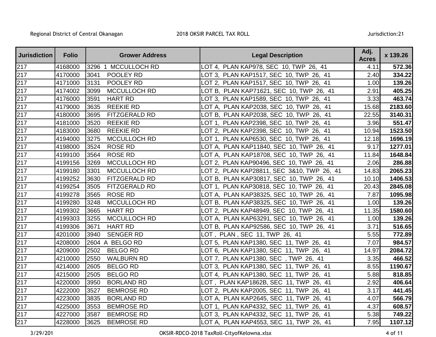| <b>Jurisdiction</b> | <b>Folio</b> | <b>Grower Address</b>        | <b>Legal Description</b>                   | Adj.<br><b>Acres</b> | x 139.26 |
|---------------------|--------------|------------------------------|--------------------------------------------|----------------------|----------|
| 217                 | 4168000      | 3296 1 MCCULLOCH RD          | LOT 4, PLAN KAP978, SEC 10, TWP 26, 41     | 4.11                 | 572.36   |
| 217                 | 4170000      | 3041<br>POOLEY RD            | LOT 3, PLAN KAP1517, SEC 10, TWP 26, 41    | 2.40                 | 334.22   |
| 217                 | 4171000      | 3131<br>POOLEY RD            | LOT 2, PLAN KAP1517, SEC 10, TWP 26, 41    | 1.00                 | 139.26   |
| 217                 | 4174002      | 3099<br>MCCULLOCH RD         | LOT B, PLAN KAP71621, SEC 10, TWP 26, 41   | 2.91                 | 405.25   |
| 217                 | 4176000      | 3591<br><b>HART RD</b>       | LOT 3, PLAN KAP1589, SEC 10, TWP 26, 41    | 3.33                 | 463.74   |
| 217                 | 4179000      | 3635<br><b>REEKIE RD</b>     | LOT A, PLAN KAP2038, SEC 10, TWP 26, 41    | 15.68                | 2183.60  |
| 217                 | 4180000      | 3695<br><b>FITZGERALD RD</b> | LOT B, PLAN KAP2038, SEC 10, TWP 26, 41    | 22.55                | 3140.31  |
| 217                 | 4181000      | 3520<br><b>REEKIE RD</b>     | LOT 1, PLAN KAP2398, SEC 10, TWP 26, 41    | 3.96                 | 551.47   |
| 217                 | 4183000      | <b>REEKIE RD</b><br>3680     | LOT 2, PLAN KAP2398, SEC 10, TWP 26, 41    | 10.94                | 1523.50  |
| 217                 | 4194000      | 3275<br>MCCULLOCH RD         | LOT 1, PLAN KAP6530, SEC 10, TWP 26, 41    | 12.18                | 1696.19  |
| 217                 | 4198000      | 3524<br><b>ROSE RD</b>       | LOT A, PLAN KAP11840, SEC 10, TWP 26, 41   | 9.17                 | 1277.01  |
| 217                 | 4199100      | 3564<br><b>ROSE RD</b>       | LOT A, PLAN KAP18708, SEC 10, TWP 26, 41   | 11.84                | 1648.84  |
| 217                 | 4199156      | MCCULLOCH RD<br>3269         | LOT 2, PLAN KAP90496, SEC 10, TWP 26, 41   | 2.06                 | 286.88   |
| 217                 | 4199180      | MCCULLOCH RD<br>3301         | LOT 2, PLAN KAP28811, SEC 3&10, TWP 26, 41 | 14.83                | 2065.23  |
| 217                 | 4199252      | 3630<br><b>FITZGERALD RD</b> | LOT B, PLAN KAP30817, SEC 10, TWP 26, 41   | 10.10                | 1406.53  |
| 217                 | 4199254      | FITZGERALD RD<br>3505        | LOT 1, PLAN KAP30818, SEC 10, TWP 26, 41   | 20.43                | 2845.08  |
| 217                 | 4199278      | 3565<br><b>ROSE RD</b>       | LOT A, PLAN KAP38325, SEC 10, TWP 26, 41   | 7.87                 | 1095.98  |
| 217                 | 4199280      | 3248<br>MCCULLOCH RD         | LOT B, PLAN KAP38325, SEC 10, TWP 26, 41   | 1.00                 | 139.26   |
| 217                 | 4199302      | 3665<br><b>HART RD</b>       | LOT 2, PLAN KAP48949, SEC 10, TWP 26, 41   | 11.35                | 1580.60  |
| 217                 | 4199303      | 3255<br>MCCULLOCH RD         | LOT A, PLAN KAP63291, SEC 10, TWP 26, 41   | 1.00                 | 139.26   |
| 217                 | 4199306      | 3671<br><b>HART RD</b>       | LOT B, PLAN KAP92586, SEC 10, TWP 26, 41   | 3.71                 | 516.65   |
| 217                 | 4201000      | 3940<br><b>SENGER RD</b>     | LOT, PLAN, SEC 11, TWP 26, 41              | 5.55                 | 772.89   |
| 217                 | 4208000      | 2604<br>A BELGO RD           | LOT 5, PLAN KAP1380, SEC 11, TWP 26, 41    | 7.07                 | 984.57   |
| 217                 | 4209000      | <b>BELGO RD</b><br>2502      | LOT 6, PLAN KAP1380, SEC 11, TWP 26, 41    | 14.97                | 2084.72  |
| 217                 | 4210000      | 2550<br><b>WALBURN RD</b>    | LOT 7, PLAN KAP1380, SEC, TWP 26, 41       | 3.35                 | 466.52   |
| 217                 | 4214000      | 2605<br><b>BELGO RD</b>      | LOT 3, PLAN KAP1380, SEC 11, TWP 26, 41    | 8.55                 | 1190.67  |
| 217                 | 4215000      | 2505<br><b>BELGO RD</b>      | LOT 4, PLAN KAP1380, SEC 11, TWP 26, 41    | 5.88                 | 818.85   |
| 217                 | 4220000      | 3950<br><b>BORLAND RD</b>    | LOT, PLAN KAP1862B, SEC 11, TWP 26, 41     | 2.92                 | 406.64   |
| 217                 | 4222000      | 3527<br><b>BEMROSE RD</b>    | LOT 2, PLAN KAP2005, SEC 11, TWP 26, 41    | 3.17                 | 441.45   |
| 217                 | 4223000      | 3835<br><b>BORLAND RD</b>    | LOT A, PLAN KAP2645, SEC 11, TWP 26, 41    | 4.07                 | 566.79   |
| 217                 | 4225000      | <b>BEMROSE RD</b><br>3553    | LOT 1, PLAN KAP4332, SEC 11, TWP 26, 41    | 4.37                 | 608.57   |
| 217                 | 4227000      | 3587<br><b>BEMROSE RD</b>    | LOT 3, PLAN KAP4332, SEC 11, TWP 26, 41    | 5.38                 | 749.22   |
| 217                 | 4228000      | 3625<br><b>BEMROSE RD</b>    | LOT A, PLAN KAP4553, SEC 11, TWP 26, 41    | 7.95                 | 1107.12  |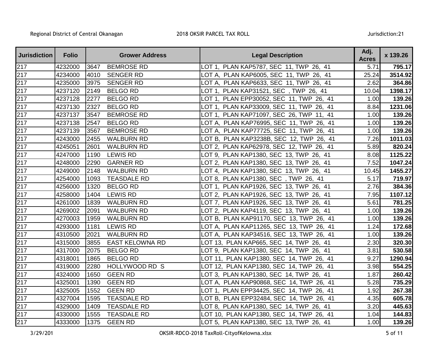| <b>Jurisdiction</b> | <b>Folio</b> |      | <b>Grower Address</b>  | <b>Legal Description</b>                     | Adj.<br><b>Acres</b> | x 139.26 |
|---------------------|--------------|------|------------------------|----------------------------------------------|----------------------|----------|
| 217                 | 4232000      | 3647 | <b>BEMROSE RD</b>      | LOT 1, PLAN KAP5787, SEC 11, TWP 26, 41      | 5.71                 | 795.17   |
| 217                 | 4234000      | 4010 | <b>SENGER RD</b>       | LOT A, PLAN KAP6005, SEC 11, TWP 26, 41      | 25.24                | 3514.92  |
| $\overline{2}17$    | 4235000      | 3975 | <b>SENGER RD</b>       | LOT A, PLAN KAP6633, SEC 11, TWP 26, 41      | 2.62                 | 364.86   |
| 217                 | 4237120      | 2149 | <b>BELGO RD</b>        | LOT 1, PLAN KAP31521, SEC, TWP 26, 41        | 10.04                | 1398.17  |
| 217                 | 4237128      | 2277 | <b>BELGO RD</b>        | LOT 1, PLAN EPP30052, SEC 11, TWP 26, 41     | 1.00                 | 139.26   |
| 217                 | 4237130      | 2327 | <b>BELGO RD</b>        | LOT 1, PLAN KAP33009, SEC 11, TWP 26, 41     | 8.84                 | 1231.06  |
| 217                 | 4237137      | 3547 | <b>BEMROSE RD</b>      | LOT 1, PLAN KAP71097, SEC 26, TWP 11, 41     | 1.00                 | 139.26   |
| 217                 | 4237138      | 2547 | <b>BELGO RD</b>        | LOT A, PLAN KAP76995, SEC 11, TWP 26, 41     | 1.00                 | 139.26   |
| 217                 | 4237139      | 3567 | <b>BEMROSE RD</b>      | LOT A, PLAN KAP77725, SEC 11, TWP 26, 41     | 1.00                 | 139.26   |
| 217                 | 4243000      | 2455 | <b>WALBURN RD</b>      | LOT B, PLAN KAP3238B, SEC 12, TWP 26, 41     | 7.26                 | 1011.03  |
| 217                 | 4245051      | 2601 | <b>WALBURN RD</b>      | LOT 2, PLAN KAP62978, SEC 12, TWP 26, 41     | 5.89                 | 820.24   |
| 217                 | 4247000      | 1190 | <b>LEWIS RD</b>        | LOT 9, PLAN KAP1380, SEC 13, TWP 26, 41      | 8.08                 | 1125.22  |
| 217                 | 4248000      | 2290 | <b>GARNER RD</b>       | LOT 2, PLAN KAP1380, SEC 13, TWP 26, 41      | 7.52                 | 1047.24  |
| 217                 | 4249000      | 2148 | <b>WALBURN RD</b>      | LOT 4, PLAN KAP1380, SEC 13, TWP 26, 41      | 10.45                | 1455.27  |
| 217                 | 4254000      | 1093 | <b>TEASDALE RD</b>     | LOT 8, PLAN KAP1380, SEC, TWP 26, 41         | 5.17                 | 719.97   |
| $\overline{2}17$    | 4256000      | 1320 | <b>BELGO RD</b>        | LOT 1, PLAN KAP1926, SEC 13, TWP 26, 41      | 2.76                 | 384.36   |
| 217                 | 4258000      | 1404 | <b>LEWIS RD</b>        | LOT 2, PLAN KAP1926, SEC 13, TWP 26, 41      | 7.95                 | 1107.12  |
| $\overline{217}$    | 4261000      | 1839 | <b>WALBURN RD</b>      | LOT 7, PLAN KAP1926, SEC 13, TWP 26, 41      | 5.61                 | 781.25   |
| 217                 | 4269002      | 2091 | <b>WALBURN RD</b>      | LOT 2, PLAN KAP4119, SEC 13, TWP 26, 41      | 1.00                 | 139.26   |
| 217                 | 4270003      | 1959 | <b>WALBURN RD</b>      | LOT B, PLAN KAP91170, SEC 13, TWP 26, 41     | 1.00                 | 139.26   |
| 217                 | 4293000      | 1181 | <b>LEWIS RD</b>        | LOT A,  PLAN KAP11265, SEC  13, TWP  26,  41 | 1.24                 | 172.68   |
| 217                 | 4310500      | 2021 | <b>WALBURN RD</b>      | LOT A,  PLAN KAP34516, SEC  13, TWP  26,  41 | 1.00                 | 139.26   |
| 217                 | 4315000      | 3855 | <b>EAST KELOWNA RD</b> | LOT 13, PLAN KAP665, SEC 14, TWP 26, 41      | 2.30                 | 320.30   |
| 217                 | 4317000      | 2075 | <b>BELGO RD</b>        | LOT 9, PLAN KAP1380, SEC 14, TWP 26, 41      | 3.81                 | 530.58   |
| 217                 | 4318001      | 1865 | <b>BELGO RD</b>        | LOT 11, PLAN KAP1380, SEC 14, TWP 26, 41     | 9.27                 | 1290.94  |
| 217                 | 4319000      | 2280 | HOLLYWOOD RD S         | LOT 12, PLAN KAP1380, SEC 14, TWP 26, 41     | 3.98                 | 554.25   |
| 217                 | 4324000      | 1650 | <b>GEEN RD</b>         | LOT 3, PLAN KAP1380, SEC 14, TWP 26, 41      | 1.87                 | 260.42   |
| 217                 | 4325001      | 1390 | <b>GEEN RD</b>         | LOT A, PLAN KAP90868, SEC 14, TWP 26, 41     | 5.28                 | 735.29   |
| 217                 | 4325005      | 1552 | <b>GEEN RD</b>         | LOT 1, PLAN EPP34425, SEC 14, TWP 26, 41     | 1.92                 | 267.38   |
| 217                 | 4327004      | 1595 | <b>TEASDALE RD</b>     | LOT B, PLAN EPP32484, SEC 14, TWP 26, 41     | 4.35                 | 605.78   |
| 217                 | 4329000      | 1409 | <b>TEASDALE RD</b>     | LOT 8, PLAN KAP1380, SEC 14, TWP 26, 41      | 3.20                 | 445.63   |
| 217                 | 4330000      | 1555 | <b>TEASDALE RD</b>     | LOT 10, PLAN KAP1380, SEC 14, TWP 26, 41     | 1.04                 | 144.83   |
| 217                 | 4333000      | 1375 | <b>GEEN RD</b>         | LOT 5, PLAN KAP1380, SEC 13, TWP 26, 41      | 1.00                 | 139.26   |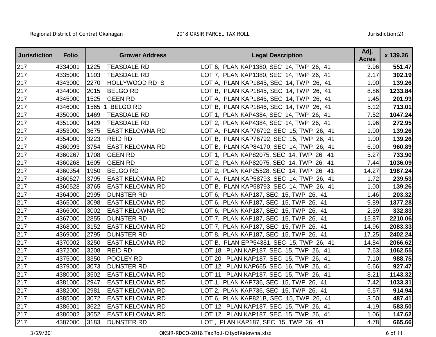| <b>Jurisdiction</b> | <b>Folio</b> |      | <b>Grower Address</b>  | <b>Legal Description</b>                    | Adj.<br><b>Acres</b> | x 139.26 |
|---------------------|--------------|------|------------------------|---------------------------------------------|----------------------|----------|
| 217                 | 4334001      | 1225 | <b>TEASDALE RD</b>     | LOT 6, PLAN KAP1380, SEC 14, TWP 26, 41     | 3.96                 | 551.47   |
| 217                 | 4335000      | 1103 | <b>TEASDALE RD</b>     | LOT 7, PLAN KAP1380, SEC 14, TWP 26, 41     | 2.17                 | 302.19   |
| 217                 | 4343000      | 2270 | HOLLYWOOD RD S         | LOT A, PLAN KAP1845, SEC 14, TWP 26, 41     | 1.00                 | 139.26   |
| 217                 | 4344000      | 2015 | <b>BELGO RD</b>        | LOT B, PLAN KAP1845, SEC 14, TWP 26, 41     | 8.86                 | 1233.84  |
| 217                 | 4345000      | 1525 | <b>GEEN RD</b>         | LOT A, PLAN KAP1846, SEC 14, TWP 26, 41     | 1.45                 | 201.93   |
| 217                 | 4346000      | 1565 | <b>BELGO RD</b>        | LOT B,  PLAN KAP1846, SEC  14, TWP  26,  41 | 5.12                 | 713.01   |
| 217                 | 4350000      | 1469 | <b>TEASDALE RD</b>     | LOT 1, PLAN KAP4384, SEC 14, TWP 26, 41     | 7.52                 | 1047.24  |
| 217                 | 4351000      | 1429 | <b>TEASDALE RD</b>     | LOT 2, PLAN KAP4384, SEC 14, TWP 26, 41     | 1.96                 | 272.95   |
| 217                 | 4353000      | 3675 | EAST KELOWNA RD        | LOT A, PLAN KAP76792, SEC 15, TWP 26, 41    | 1.00                 | 139.26   |
| 217                 | 4354000      | 3223 | <b>REID RD</b>         | LOT B, PLAN KAP76792, SEC 15, TWP 26, 41    | 1.00                 | 139.26   |
| 217                 | 4360093      | 3754 | <b>EAST KELOWNA RD</b> | LOT B, PLAN KAP84170, SEC 14, TWP 26, 41    | 6.90                 | 960.89   |
| 217                 | 4360267      | 1708 | <b>GEEN RD</b>         | LOT 1, PLAN KAP82075, SEC 14, TWP 26, 41    | 5.27                 | 733.90   |
| 217                 | 4360268      | 1605 | <b>GEEN RD</b>         | LOT 2, PLAN KAP82075, SEC 14, TWP 26, 41    | 7.44                 | 1036.09  |
| 217                 | 4360354      | 1950 | <b>BELGO RD</b>        | LOT 2, PLAN KAP25528, SEC 14, TWP 26, 41    | 14.27                | 1987.24  |
| 217                 | 4360527      | 3795 | <b>EAST KELOWNA RD</b> | LOT A, PLAN KAP58793, SEC 14, TWP 26, 41    | 1.72                 | 239.53   |
| 217                 | 4360528      | 3765 | <b>EAST KELOWNA RD</b> | LOT B, PLAN KAP58793, SEC 14, TWP 26, 41    | 1.00                 | 139.26   |
| 217                 | 4364000      | 2995 | <b>DUNSTER RD</b>      | LOT 6, PLAN KAP187, SEC 15, TWP 26, 41      | 1.46                 | 203.32   |
| 217                 | 4365000      | 3098 | <b>EAST KELOWNA RD</b> | LOT 6, PLAN KAP187, SEC 15, TWP 26, 41      | 9.89                 | 1377.28  |
| 217                 | 4366000      | 3002 | <b>EAST KELOWNA RD</b> | LOT 6, PLAN KAP187, SEC 15, TWP 26, 41      | 2.39                 | 332.83   |
| 217                 | 4367000      | 2855 | <b>DUNSTER RD</b>      | LOT 7, PLAN KAP187, SEC 15, TWP 26, 41      | 15.87                | 2210.06  |
| 217                 | 4368000      | 3152 | <b>EAST KELOWNA RD</b> | LOT 7, PLAN KAP187, SEC 15, TWP 26, 41      | 14.96                | 2083.33  |
| 217                 | 4369000      | 2795 | <b>DUNSTER RD</b>      | LOT 8, PLAN KAP187, SEC 15, TWP 26, 41      | 17.25                | 2402.24  |
| 217                 | 4370002      | 3250 | <b>EAST KELOWNA RD</b> | LOT B, PLAN EPP54381, SEC 15, TWP 26, 41    | 14.84                | 2066.62  |
| 217                 | 4372000      | 3208 | <b>REID RD</b>         | LOT 18, PLAN KAP187, SEC 15, TWP 26, 41     | 7.63                 | 1062.55  |
| 217                 | 4375000      | 3350 | POOLEY RD              | LOT 20, PLAN KAP187, SEC 15, TWP 26, 41     | 7.10                 | 988.75   |
| 217                 | 4379000      | 3073 | <b>DUNSTER RD</b>      | LOT 12, PLAN KAP665, SEC 16, TWP 26, 41     | 6.66                 | 927.47   |
| 217                 | 4380000      | 3502 | <b>EAST KELOWNA RD</b> | LOT 11, PLAN KAP187, SEC 15, TWP 26, 41     | 8.21                 | 1143.32  |
| 217                 | 4381000      | 2947 | <b>EAST KELOWNA RD</b> | LOT 1, PLAN KAP736, SEC 15, TWP 26, 41      | 7.42                 | 1033.31  |
| 217                 | 4382000      | 2981 | <b>EAST KELOWNA RD</b> | LOT 2, PLAN KAP736, SEC 15, TWP 26, 41      | 6.57                 | 914.94   |
| 217                 | 4385000      | 3072 | <b>EAST KELOWNA RD</b> | LOT 6, PLAN KAP821B, SEC 15, TWP 26, 41     | 3.50                 | 487.41   |
| 217                 | 4386001      | 3622 | <b>EAST KELOWNA RD</b> | LOT 12, PLAN KAP187, SEC 15, TWP 26, 41     | 4.19                 | 583.50   |
| 217                 | 4386002      | 3652 | <b>EAST KELOWNA RD</b> | LOT 12, PLAN KAP187, SEC 15, TWP 26, 41     | 1.06                 | 147.62   |
| 217                 | 4387000      | 3183 | <b>DUNSTER RD</b>      | LOT, PLAN KAP187, SEC 15, TWP 26, 41        | 4.78                 | 665.66   |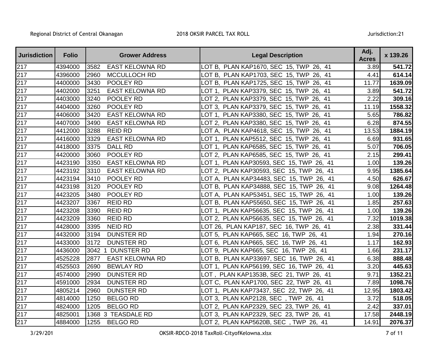| <b>Jurisdiction</b> | <b>Folio</b> |      | <b>Grower Address</b>  | <b>Legal Description</b>                 | Adj.<br><b>Acres</b> | x 139.26 |
|---------------------|--------------|------|------------------------|------------------------------------------|----------------------|----------|
| $\overline{217}$    | 4394000      | 3582 | <b>EAST KELOWNA RD</b> | LOT B, PLAN KAP1670, SEC 15, TWP 26, 41  | 3.89                 | 541.72   |
| 217                 | 4396000      | 2960 | MCCULLOCH RD           | LOT B, PLAN KAP1703, SEC 15, TWP 26, 41  | 4.41                 | 614.14   |
| 217                 | 4400000      | 3430 | POOLEY RD              | LOT B, PLAN KAP1725, SEC 15, TWP 26, 41  | 11.77                | 1639.09  |
| 217                 | 4402000      | 3251 | <b>EAST KELOWNA RD</b> | LOT 1, PLAN KAP3379, SEC 15, TWP 26, 41  | 3.89                 | 541.72   |
| 217                 | 4403000      | 3240 | POOLEY RD              | LOT 2, PLAN KAP3379, SEC 15, TWP 26, 41  | 2.22                 | 309.16   |
| 217                 | 4404000      | 3260 | POOLEY RD              | LOT 3, PLAN KAP3379, SEC 15, TWP 26, 41  | 11.19                | 1558.32  |
| 217                 | 4406000      | 3420 | <b>EAST KELOWNA RD</b> | LOT 1, PLAN KAP3380, SEC 15, TWP 26, 41  | 5.65                 | 786.82   |
| 217                 | 4407000      | 3490 | <b>EAST KELOWNA RD</b> | LOT 2, PLAN KAP3380, SEC 15, TWP 26, 41  | 6.28                 | 874.55   |
| 217                 | 4412000      | 3288 | <b>REID RD</b>         | LOT A, PLAN KAP4618, SEC 15, TWP 26, 41  | 13.53                | 1884.19  |
| 217                 | 4416000      | 3329 | <b>EAST KELOWNA RD</b> | LOT 1, PLAN KAP5512, SEC 15, TWP 26, 41  | 6.69                 | 931.65   |
| 217                 | 4418000      | 3375 | <b>DALL RD</b>         | LOT 1, PLAN KAP6585, SEC 15, TWP 26, 41  | 5.07                 | 706.05   |
| 217                 | 4420000      | 3060 | POOLEY RD              | LOT 2, PLAN KAP6585, SEC 15, TWP 26, 41  | 2.15                 | 299.41   |
| 217                 | 4423190      | 3350 | <b>EAST KELOWNA RD</b> | LOT 1, PLAN KAP30593, SEC 15, TWP 26, 41 | 1.00                 | 139.26   |
| 217                 | 4423192      | 3310 | <b>EAST KELOWNA RD</b> | LOT 2, PLAN KAP30593, SEC 15, TWP 26, 41 | 9.95                 | 1385.64  |
| 217                 | 4423194      | 3410 | POOLEY RD              | LOT A, PLAN KAP34483, SEC 15, TWP 26, 41 | 4.50                 | 626.67   |
| 217                 | 4423198      | 3120 | POOLEY RD              | LOT B, PLAN KAP34888, SEC 15, TWP 26, 41 | 9.08                 | 1264.48  |
| 217                 | 4423205      | 3480 | POOLEY RD              | LOT A, PLAN KAP53451, SEC 15, TWP 26, 41 | 1.00                 | 139.26   |
| 217                 | 4423207      | 3367 | <b>REID RD</b>         | LOT B, PLAN KAP55650, SEC 15, TWP 26, 41 | 1.85                 | 257.63   |
| 217                 | 4423208      | 3390 | <b>REID RD</b>         | LOT 1, PLAN KAP56635, SEC 15, TWP 26, 41 | 1.00                 | 139.26   |
| 217                 | 4423209      | 3360 | <b>REID RD</b>         | LOT 2, PLAN KAP56635, SEC 15, TWP 26, 41 | 7.32                 | 1019.38  |
| 217                 | 4428000      | 3395 | <b>NEID RD</b>         | LOT 26, PLAN KAP187, SEC 16, TWP 26, 41  | 2.38                 | 331.44   |
| 217                 | 4432000      | 3194 | <b>DUNSTER RD</b>      | LOT 5, PLAN KAP665, SEC 16, TWP 26, 41   | 1.94                 | 270.16   |
| 217                 | 4433000      | 3172 | <b>DUNSTER RD</b>      | LOT 6, PLAN KAP665, SEC 16, TWP 26, 41   | 1.17                 | 162.93   |
| 217                 | 4436000      | 3042 | 1 DUNSTER RD           | LOT 9, PLAN KAP665, SEC 16, TWP 26, 41   | 1.66                 | 231.17   |
| 217                 | 4525228      | 2877 | <b>EAST KELOWNA RD</b> | LOT B, PLAN KAP33697, SEC 16, TWP 26, 41 | 6.38                 | 888.48   |
| 217                 | 4525503      | 2690 | <b>BEWLAY RD</b>       | LOT 1, PLAN KAP56199, SEC 16, TWP 26, 41 | 3.20                 | 445.63   |
| 217                 | 4574000      | 2990 | <b>DUNSTER RD</b>      | LOT, PLAN KAP1353B, SEC 21, TWP 26, 41   | 9.71                 | 1352.21  |
| 217                 | 4591000      | 2934 | <b>DUNSTER RD</b>      | LOT C, PLAN KAP1700, SEC 22, TWP 26, 41  | 7.89                 | 1098.76  |
| 217                 | 4805214      | 2960 | <b>DUNSTER RD</b>      | LOT 1, PLAN KAP73437, SEC 22, TWP 26, 41 | 12.95                | 1803.42  |
| 217                 | 4814000      | 1250 | <b>BELGO RD</b>        | LOT 3, PLAN KAP2128, SEC, TWP 26, 41     | 3.72                 | 518.05   |
| 217                 | 4824000      | 1205 | <b>BELGO RD</b>        | LOT 2, PLAN KAP2329, SEC 23, TWP 26, 41  | 2.42                 | 337.01   |
| 217                 | 4825001      |      | 1368 3 TEASDALE RD     | LOT 3, PLAN KAP2329, SEC 23, TWP 26, 41  | 17.58                | 2448.19  |
| 217                 | 4884000      | 1255 | <b>BELGO RD</b>        | LOT 2, PLAN KAP5620B, SEC, TWP 26, 41    | 14.91                | 2076.37  |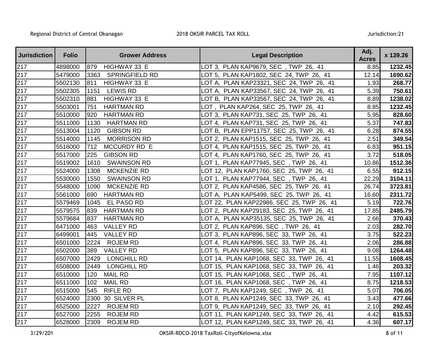| <b>Jurisdiction</b> | <b>Folio</b> | <b>Grower Address</b>         | <b>Legal Description</b>                  | Adj.<br><b>Acres</b> | x 139.26 |
|---------------------|--------------|-------------------------------|-------------------------------------------|----------------------|----------|
| 217                 | 4898000      | 879<br>HIGHWAY 33 E           | LOT 3, PLAN KAP9679, SEC, TWP 26, 41      | 8.85                 | 1232.45  |
| 217                 | 5479000      | 3363<br><b>SPRINGFIELD RD</b> | LOT 5, PLAN KAP1802, SEC 24, TWP 26, 41   | 12.14                | 1690.62  |
| 217                 | 5502130      | HIGHWAY 33 E<br>811           | LOT A, PLAN KAP23321, SEC 24, TWP 26, 41  | 1.93                 | 268.77   |
| 217                 | 5502305      | <b>LEWIS RD</b><br>1151       | LOT A, PLAN KAP33567, SEC 24, TWP 26, 41  | 5.39                 | 750.61   |
| 217                 | 5502310      | 881<br>HIGHWAY 33 E           | LOT B, PLAN KAP33567, SEC 24, TWP 26, 41  | 8.89                 | 1238.02  |
| 217                 | 5503001      | 751<br><b>HARTMAN RD</b>      | LOT, PLAN KAP264, SEC 25, TWP 26, 41      | 8.85                 | 1232.45  |
| 217                 | 5510000      | 920<br><b>HARTMAN RD</b>      | LOT 3, PLAN KAP731, SEC 25, TWP 26, 41    | 5.95                 | 828.60   |
| 217                 | 5511000      | <b>HARTMAN RD</b><br>1130     | LOT 4, PLAN KAP731, SEC 25, TWP 26, 41    | 5.37                 | 747.83   |
| 217                 | 5513004      | <b>GIBSON RD</b><br>1120      | LOT B, PLAN EPP11757, SEC 25, TWP 26, 41  | 6.28                 | 874.55   |
| 217                 | 5514000      | <b>MORRISON RD</b><br>1145    | LOT 2, PLAN KAP1515, SEC 25, TWP 26, 41   | 2.51                 | 349.54   |
| 217                 | 5516000      | 712<br>MCCURDY RD E           | LOT 4, PLAN KAP1515, SEC 25, TWP 26, 41   | 6.83                 | 951.15   |
| 217                 | 5517000      | 225<br><b>GIBSON RD</b>       | LOT 4, PLAN KAP1760, SEC 25, TWP 26, 41   | 3.72                 | 518.05   |
| 217                 | 5519002      | 1610<br><b>SWAINSON RD</b>    | LOT 1, PLAN KAP77945, SEC, TWP 26, 41     | 10.86                | 1512.36  |
| 217                 | 5524000      | MCKENZIE RD<br>1308           | LOT 12, PLAN KAP1760, SEC 25, TWP 26, 41  | 6.55                 | 912.15   |
| 217                 | 5530000      | 1550<br><b>SWAINSON RD</b>    | LOT 1, PLAN KAP77944, SEC, TWP 26, 41     | 22.29                | 3104.11  |
| 217                 | 5548000      | MCKENZIE RD<br>1090           | LOT 2, PLAN KAP4586, SEC 25, TWP 26, 41   | 26.74                | 3723.81  |
| 217                 | 5561000      | <b>HARTMAN RD</b><br>690      | LOT A, PLAN KAP5499, SEC 25, TWP 26, 41   | 16.60                | 2311.72  |
| 217                 | 5579469      | 1045<br>EL PASO RD            | LOT 22, PLAN KAP22986, SEC 25, TWP 26, 41 | 5.19                 | 722.76   |
| 217                 | 5579575      | 839<br><b>HARTMAN RD</b>      | LOT 2, PLAN KAP29183, SEC 25, TWP 26, 41  | 17.85                | 2485.79  |
| 217                 | 5579684      | <b>HARTMAN RD</b><br>837      | LOT A, PLAN KAP35135, SEC 25, TWP 26, 41  | 2.66                 | 370.43   |
| 217                 | 6471000      | <b>VALLEY RD</b><br>463       | LOT 2, PLAN KAP896, SEC , TWP 26, 41      | 2.03                 | 282.70   |
| 217                 | 6499001      | 445<br><b>VALLEY RD</b>       | LOT 3, PLAN KAP896, SEC 33, TWP 26, 41    | 3.75                 | 522.23   |
| 217                 | 6501000      | 2224<br><b>ROJEM RD</b>       | LOT 4, PLAN KAP896, SEC 33, TWP 26, 41    | 2.06                 | 286.88   |
| 217                 | 6502000      | 389<br><b>VALLEY RD</b>       | LOT 5, PLAN KAP896, SEC 33, TWP 26, 41    | 9.08                 | 1264.48  |
| 217                 | 6507000      | <b>LONGHILL RD</b><br>2429    | LOT 14, PLAN KAP1068, SEC 33, TWP 26, 41  | 11.55                | 1608.45  |
| 217                 | 6508000      | 2449<br><b>LONGHILL RD</b>    | LOT 15, PLAN KAP1068, SEC 33, TWP 26, 41  | 1.46                 | 203.32   |
| 217                 | 6510000      | 120<br><b>MAIL RD</b>         | LOT 15, PLAN KAP1068, SEC, TWP 26, 41     | 7.95                 | 1107.12  |
| 217                 | 6511000      | <b>MAIL RD</b><br>102         | LOT 16, PLAN KAP1068, SEC, TWP 26, 41     | 8.75                 | 1218.53  |
| 217                 | 6515000      | <b>RIFLE RD</b><br>545        | LOT 7, PLAN KAP1249, SEC, TWP 26, 41      | 5.07                 | 706.05   |
| 217                 | 6524000      | 2300<br>30 SILVER PL          | LOT 8, PLAN KAP1249, SEC 33, TWP 26, 41   | 3.43                 | 477.66   |
| 217                 | 6525000      | 2227<br><b>ROJEM RD</b>       | LOT 9, PLAN KAP1249, SEC 33, TWP 26, 41   | 2.10                 | 292.45   |
| 217                 | 6527000      | 2255<br><b>ROJEM RD</b>       | LOT 11, PLAN KAP1249, SEC 33, TWP 26, 41  | 4.42                 | 615.53   |
| 217                 | 6528000      | 2309<br><b>ROJEM RD</b>       | LOT 12, PLAN KAP1249, SEC 33, TWP 26, 41  | 4.36                 | 607.17   |

OKSIR-RDCO-2018 TaxRoll-CityofKelowna.xlsx 8 of 11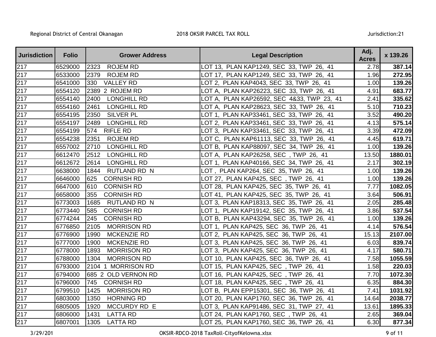| <b>Jurisdiction</b> | <b>Folio</b> | <b>Grower Address</b>       | <b>Legal Description</b>                     | Adj.<br><b>Acres</b> | x 139.26 |
|---------------------|--------------|-----------------------------|----------------------------------------------|----------------------|----------|
| 217                 | 6529000      | 2323<br><b>ROJEM RD</b>     | LOT 13, PLAN KAP1249, SEC 33, TWP 26, 41     | 2.78                 | 387.14   |
| 217                 | 6533000      | 2379<br><b>ROJEM RD</b>     | LOT 17, PLAN KAP1249, SEC 33, TWP 26, 41     | 1.96                 | 272.95   |
| $\overline{2}17$    | 6541000      | <b>VALLEY RD</b><br>330     | LOT 2, PLAN KAP4043, SEC 33, TWP 26, 41      | 1.00                 | 139.26   |
| 217                 | 6554120      | 2389 2 ROJEM RD             | LOT A, PLAN KAP26223, SEC 33, TWP 26, 41     | 4.91                 | 683.77   |
| 217                 | 6554140      | 2400<br><b>LONGHILL RD</b>  | LOT A, PLAN KAP26592, SEC 4&33, TWP 23, 41   | 2.41                 | 335.62   |
| 217                 | 6554160      | 2461<br><b>LONGHILL RD</b>  | LOT A,  PLAN KAP28623, SEC  33, TWP  26,  41 | 5.10                 | 710.23   |
| 217                 | 6554195      | <b>SILVER PL</b><br>2350    | LOT 1, PLAN KAP33461, SEC 33, TWP 26, 41     | 3.52                 | 490.20   |
| $\overline{2}17$    | 6554197      | 2489<br><b>LONGHILL RD</b>  | LOT 2, PLAN KAP33461, SEC 33, TWP 26, 41     | 4.13                 | 575.14   |
| $\overline{2}17$    | 6554199      | <b>RIFLE RD</b><br>574      | LOT 3, PLAN KAP33461, SEC 33, TWP 26, 41     | 3.39                 | 472.09   |
| 217                 | 6554238      | 2351<br><b>ROJEM RD</b>     | LOT C, PLAN KAP61113, SEC 33, TWP 26, 41     | 4.45                 | 619.71   |
| 217                 | 6557002      | 2710<br><b>LONGHILL RD</b>  | LOT B, PLAN KAP88097, SEC 34, TWP 26, 41     | 1.00                 | 139.26   |
| 217                 | 6612470      | 2512<br><b>LONGHILL RD</b>  | LOT A, PLAN KAP26258, SEC, TWP 26, 41        | 13.50                | 1880.01  |
| 217                 | 6612672      | 2614<br><b>LONGHILL RD</b>  | LOT 1, PLAN KAP40166, SEC 34, TWP 26, 41     | 2.17                 | 302.19   |
| 217                 | 6638000      | 1844<br><b>RUTLAND RD N</b> | LOT, PLAN KAP264, SEC 35, TWP 26, 41         | 1.00                 | 139.26   |
| 217                 | 6646000      | <b>CORNISH RD</b><br>625    | LOT 27, PLAN KAP425, SEC, TWP 26, 41         | 1.00                 | 139.26   |
| 217                 | 6647000      | <b>CORNISH RD</b><br>610    | LOT 28, PLAN KAP425, SEC 35, TWP 26, 41      | 7.77                 | 1082.05  |
| 217                 | 6658000      | <b>CORNISH RD</b><br>355    | LOT 41, PLAN KAP425, SEC 35, TWP 26, 41      | 3.64                 | 506.91   |
| 217                 | 6773003      | <b>RUTLAND RD N</b><br>1685 | LOT 3, PLAN KAP18313, SEC 35, TWP 26, 41     | 2.05                 | 285.48   |
| 217                 | 6773440      | 585<br><b>CORNISH RD</b>    | LOT 1, PLAN KAP19142, SEC 35, TWP 26, 41     | 3.86                 | 537.54   |
| 217                 | 6774244      | 245<br><b>CORNISH RD</b>    | LOT B, PLAN KAP43294, SEC 35, TWP 26, 41     | 1.00                 | 139.26   |
| 217                 | 6776850      | 2105<br><b>MORRISON RD</b>  | LOT 1, PLAN KAP425, SEC 36, TWP 26, 41       | 4.14                 | 576.54   |
| 217                 | 6776900      | <b>MCKENZIE RD</b><br>1990  | LOT 2, PLAN KAP425, SEC 36, TWP 26, 41       | 15.13                | 2107.00  |
| 217                 | 6777000      | <b>MCKENZIE RD</b><br>1900  | LOT 3, PLAN KAP425, SEC 36, TWP 26, 41       | 6.03                 | 839.74   |
| 217                 | 6778000      | <b>MORRISON RD</b><br>1893  | LOT 3, PLAN KAP425, SEC 36, TWP 26, 41       | 4.17                 | 580.71   |
| $\overline{2}17$    | 6788000      | <b>MORRISON RD</b><br>1304  | LOT 10, PLAN KAP425, SEC 36, TWP 26, 41      | 7.58                 | 1055.59  |
| 217                 | 6793000      | 2104 1 MORRISON RD          | LOT 15, PLAN KAP425, SEC, TWP 26, 41         | 1.58                 | 220.03   |
| 217                 | 6794000      | 685 2 OLD VERNON RD         | LOT 16, PLAN KAP425, SEC, TWP 26, 41         | 7.70                 | 1072.30  |
| 217                 | 6796000      | 745<br><b>CORNISH RD</b>    | LOT 18, PLAN KAP425, SEC, TWP 26, 41         | 6.35                 | 884.30   |
| 217                 | 6799510      | <b>MORRISON RD</b><br>1425  | LOT B, PLAN EPP15301, SEC 36, TWP 26, 41     | 7.41                 | 1031.92  |
| 217                 | 6803000      | 1350<br><b>HORNING RD</b>   | LOT 20, PLAN KAP1760, SEC 36, TWP 26, 41     | 14.64                | 2038.77  |
| 217                 | 6805005      | MCCURDY RD E<br>1920        | LOT 3, PLAN KAP91486, SEC 31, TWP 27, 41     | 13.61                | 1895.33  |
| 217                 | 6806000      | <b>LATTA RD</b><br>1431     | LOT 24, PLAN KAP1760, SEC, TWP 26, 41        | 2.65                 | 369.04   |
| 217                 | 6807001      | 1305<br><b>LATTA RD</b>     | LOT 25, PLAN KAP1760, SEC 36, TWP 26, 41     | 6.30                 | 877.34   |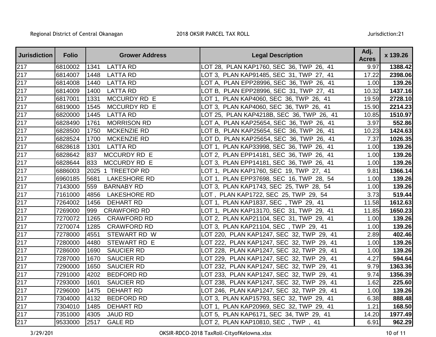| <b>Jurisdiction</b> | <b>Folio</b> | <b>Grower Address</b>       | <b>Legal Description</b>                  | Adj.<br><b>Acres</b> | x 139.26 |
|---------------------|--------------|-----------------------------|-------------------------------------------|----------------------|----------|
| 217                 | 6810002      | <b>LATTA RD</b><br>1341     | LOT 28, PLAN KAP1760, SEC 36, TWP 26, 41  | 9.97                 | 1388.42  |
| 217                 | 6814007      | <b>LATTA RD</b><br>1448     | LOT 3, PLAN KAP91485, SEC 31, TWP 27, 41  | 17.22                | 2398.06  |
| $\overline{2}17$    | 6814008      | 1440<br><b>LATTA RD</b>     | LOT A, PLAN EPP28996, SEC 36, TWP 26, 41  | 1.00                 | 139.26   |
| 217                 | 6814009      | 1400<br><b>LATTA RD</b>     | LOT B, PLAN EPP28996, SEC 31, TWP 27, 41  | 10.32                | 1437.16  |
| 217                 | 6817001      | 1331<br>MCCURDY RD E        | LOT 1, PLAN KAP4060, SEC 36, TWP 26, 41   | 19.59                | 2728.10  |
| 217                 | 6819000      | 1545<br>MCCURDY RD E        | LOT 3, PLAN KAP4060, SEC 36, TWP 26, 41   | 15.90                | 2214.23  |
| 217                 | 6820000      | 1445<br><b>LATTA RD</b>     | LOT 25, PLAN KAP4218B, SEC 36, TWP 26, 41 | 10.85                | 1510.97  |
| 217                 | 6828490      | 1761<br><b>MORRISON RD</b>  | LOT A, PLAN KAP25654, SEC 36, TWP 26, 41  | 3.97                 | 552.86   |
| 217                 | 6828500      | <b>MCKENZIE RD</b><br>1750  | LOT B, PLAN KAP25654, SEC 36, TWP 26, 41  | 10.23                | 1424.63  |
| $\overline{2}17$    | 6828524      | <b>MCKENZIE RD</b><br>1700  | LOT D, PLAN KAP25654, SEC 36, TWP 26, 41  | 7.37                 | 1026.35  |
| 217                 | 6828618      | <b>LATTA RD</b><br>1301     | LOT 1, PLAN KAP33998, SEC 36, TWP 26, 41  | 1.00                 | 139.26   |
| 217                 | 6828642      | 837<br>MCCURDY RD E         | LOT 2, PLAN EPP14181, SEC 36, TWP 26, 41  | 1.00                 | 139.26   |
| 217                 | 6828644      | 833<br>MCCURDY RD E         | LOT 3, PLAN EPP14181, SEC 36, TWP 26, 41  | 1.00                 | 139.26   |
| 217                 | 6886003      | 2025 1 TREETOP RD           | LOT 1, PLAN KAP1760, SEC 19, TWP 27, 41   | 9.81                 | 1366.14  |
| 217                 | 6960185      | <b>LAKESHORE RD</b><br>5681 | LOT 1, PLAN EPP37698, SEC 16, TWP 28, 54  | 1.00                 | 139.26   |
| 217                 | 7143000      | <b>BARNABY RD</b><br>559    | LOT 3, PLAN KAP1743, SEC 25, TWP 28, 54   | 1.00                 | 139.26   |
| 217                 | 7161000      | 4856<br><b>LAKESHORE RD</b> | LOT, PLAN KAP1722, SEC 25, TWP 29, 54     | 3.73                 | 519.44   |
| 217                 | 7264002      | <b>DEHART RD</b><br>1456    | LOT 1, PLAN KAP1837, SEC, TWP 29, 41      | 11.58                | 1612.63  |
| 217                 | 7269000      | 999<br><b>CRAWFORD RD</b>   | LOT 1, PLAN KAP13170, SEC 31, TWP 29, 41  | 11.85                | 1650.23  |
| 217                 | 7270072      | 1265<br><b>CRAWFORD RD</b>  | LOT 2, PLAN KAP21104, SEC 31, TWP 29, 41  | 1.00                 | 139.26   |
| 217                 | 7270074      | <b>CRAWFORD RD</b><br>1285  | LOT 3, PLAN KAP21104, SEC, TWP 29, 41     | 1.00                 | 139.26   |
| 217                 | 7278000      | 4551<br>STEWART RD W        | LOT 220, PLAN KAP1247, SEC 32, TWP 29, 41 | 2.89                 | 402.46   |
| 217                 | 7280000      | 4480<br>STEWART RD E        | LOT 222, PLAN KAP1247, SEC 32, TWP 29, 41 | 1.00                 | 139.26   |
| 217                 | 7286000      | <b>SAUCIER RD</b><br>1690   | LOT 228, PLAN KAP1247, SEC 32, TWP 29, 41 | 1.00                 | 139.26   |
| 217                 | 7287000      | 1670<br><b>SAUCIER RD</b>   | LOT 229, PLAN KAP1247, SEC 32, TWP 29, 41 | 4.27                 | 594.64   |
| 217                 | 7290000      | <b>SAUCIER RD</b><br>1650   | LOT 232, PLAN KAP1247, SEC 32, TWP 29, 41 | 9.79                 | 1363.36  |
| 217                 | 7291000      | 4202<br><b>BEDFORD RD</b>   | LOT 233, PLAN KAP1247, SEC 32, TWP 29, 41 | 9.74                 | 1356.39  |
| 217                 | 7293000      | 1601<br><b>SAUCIER RD</b>   | LOT 238, PLAN KAP1247, SEC 32, TWP 29, 41 | 1.62                 | 225.60   |
| 217                 | 7296000      | 1475<br><b>DEHART RD</b>    | LOT 246, PLAN KAP1247, SEC 32, TWP 29, 41 | 1.00                 | 139.26   |
| 217                 | 7304000      | 4132<br><b>BEDFORD RD</b>   | LOT 3, PLAN KAP15793, SEC 32, TWP 29, 41  | 6.38                 | 888.48   |
| 217                 | 7304010      | 1485<br><b>DEHART RD</b>    | LOT 1, PLAN KAP20969, SEC 32, TWP 29, 41  | 1.21                 | 168.50   |
| $\overline{2}17$    | 7351000      | <b>JAUD RD</b><br>4305      | LOT 5, PLAN KAP6171, SEC 34, TWP 29, 41   | 14.20                | 1977.49  |
| 217                 | 9533000      | 2517<br><b>GALE RD</b>      | LOT 2, PLAN KAP10810, SEC, TWP, 41        | 6.91                 | 962.29   |